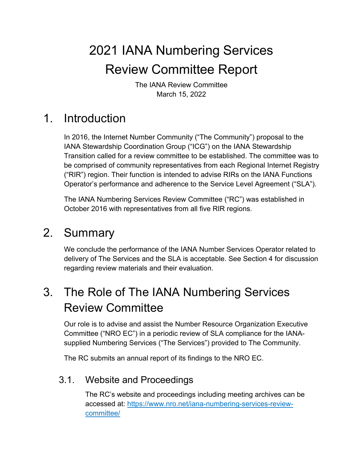# 2021 IANA Numbering Services Review Committee Report

The IANA Review Committee March 15, 2022

# 1. Introduction

In 2016, the Internet Number Community ("The Community") proposal to the IANA Stewardship Coordination Group ("ICG") on the IANA Stewardship Transition called for a review committee to be established. The committee was to be comprised of community representatives from each Regional Internet Registry ("RIR") region. Their function is intended to advise RIRs on the IANA Functions Operator's performance and adherence to the Service Level Agreement ("SLA").

The IANA Numbering Services Review Committee ("RC") was established in October 2016 with representatives from all five RIR regions.

# 2. Summary

We conclude the performance of the IANA Number Services Operator related to delivery of The Services and the SLA is acceptable. See Section 4 for discussion regarding review materials and their evaluation.

# 3. The Role of The IANA Numbering Services Review Committee

Our role is to advise and assist the Number Resource Organization Executive Committee ("NRO EC") in a periodic review of SLA compliance for the IANAsupplied Numbering Services ("The Services") provided to The Community.

The RC submits an annual report of its findings to the NRO EC.

# 3.1. Website and Proceedings

The RC's website and proceedings including meeting archives can be accessed at: https://www.nro.net/iana-numbering-services-reviewcommittee/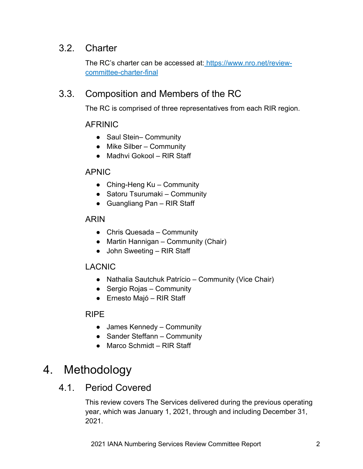## 3.2. Charter

The RC's charter can be accessed at: https://www.nro.net/reviewcommittee-charter-final

## 3.3. Composition and Members of the RC

The RC is comprised of three representatives from each RIR region.

#### AFRINIC

- Saul Stein– Community
- $\bullet$  Mike Silber Community
- Madhvi Gokool RIR Staff

#### APNIC

- Ching-Heng Ku Community
- Satoru Tsurumaki Community
- Guangliang Pan RIR Staff

#### ARIN

- Chris Quesada Community
- Martin Hannigan Community (Chair)
- John Sweeting RIR Staff

#### LACNIC

- Nathalia Sautchuk Patrício Community (Vice Chair)
- Sergio Rojas Community
- Ernesto Majó RIR Staff

#### RIPE

- James Kennedy Community
- Sander Steffann Community
- Marco Schmidt RIR Staff

# 4. Methodology

## 4.1. Period Covered

This review covers The Services delivered during the previous operating year, which was January 1, 2021, through and including December 31, 2021.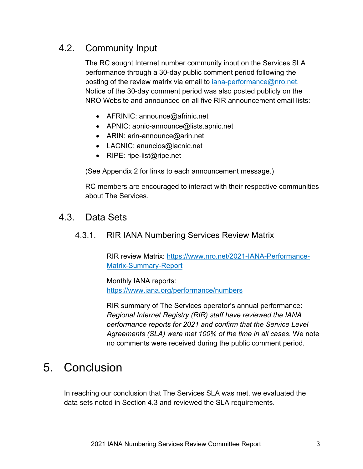# 4.2. Community Input

The RC sought Internet number community input on the Services SLA performance through a 30-day public comment period following the posting of the review matrix via email to *iana-performance@nro.net.* Notice of the 30-day comment period was also posted publicly on the NRO Website and announced on all five RIR announcement email lists:

- AFRINIC: announce@afrinic.net
- APNIC: apnic-announce@lists.apnic.net
- ARIN: arin-announce@arin.net
- LACNIC: anuncios@lacnic.net
- RIPE: ripe-list@ripe.net

(See Appendix 2 for links to each announcement message.)

RC members are encouraged to interact with their respective communities about The Services.

### 4.3. Data Sets

#### 4.3.1. RIR IANA Numbering Services Review Matrix

RIR review Matrix: https://www.nro.net/2021-IANA-Performance-Matrix-Summary-Report

#### Monthly IANA reports:

https://www.iana.org/performance/numbers

RIR summary of The Services operator's annual performance: *Regional Internet Registry (RIR) staff have reviewed the IANA performance reports for 2021 and confirm that the Service Level Agreements (SLA) were met 100% of the time in all cases.* We note no comments were received during the public comment period.

# 5. Conclusion

In reaching our conclusion that The Services SLA was met, we evaluated the data sets noted in Section 4.3 and reviewed the SLA requirements.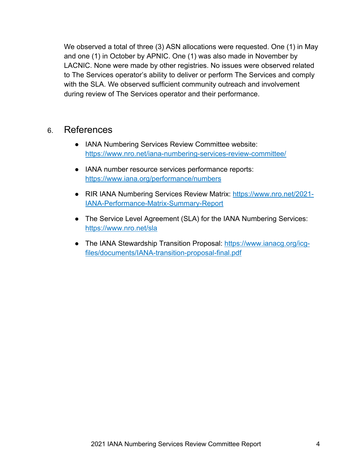We observed a total of three (3) ASN allocations were requested. One (1) in May and one (1) in October by APNIC. One (1) was also made in November by LACNIC. None were made by other registries. No issues were observed related to The Services operator's ability to deliver or perform The Services and comply with the SLA. We observed sufficient community outreach and involvement during review of The Services operator and their performance.

### 6. References

- IANA Numbering Services Review Committee website: https://www.nro.net/iana-numbering-services-review-committee/
- IANA number resource services performance reports: https://www.iana.org/performance/numbers
- RIR IANA Numbering Services Review Matrix: https://www.nro.net/2021-IANA-Performance-Matrix-Summary-Report
- The Service Level Agreement (SLA) for the IANA Numbering Services: https://www.nro.net/sla
- The IANA Stewardship Transition Proposal: https://www.ianacg.org/icgfiles/documents/IANA-transition-proposal-final.pdf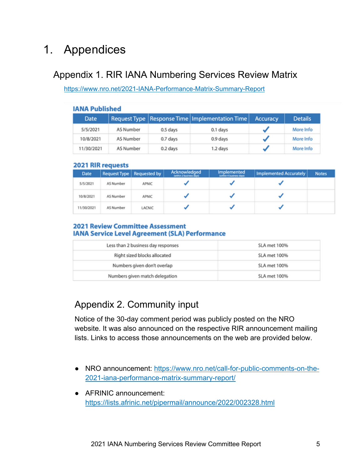# 1. Appendices

## Appendix 1. RIR IANA Numbering Services Review Matrix

https://www.nro.net/2021-IANA-Performance-Matrix-Summary-Report

| <b>IANA Published</b> |                  |          |                                                    |          |                |  |  |  |
|-----------------------|------------------|----------|----------------------------------------------------|----------|----------------|--|--|--|
| Date                  |                  |          | Request Type   Response Time   Implementation Time | Accuracy | <b>Details</b> |  |  |  |
| 5/5/2021              | AS Number        | 0.5 days | 0.1 days                                           |          | More Info      |  |  |  |
| 10/8/2021             | AS Number        | 0.7 days | 0.9 days                                           |          | More Info      |  |  |  |
| 11/30/2021            | <b>AS Number</b> | 0.2 days | 1.2 days                                           |          | More Info      |  |  |  |

#### **2021 RIR requests**

| <b>Date</b> |           | Request Type   Requested by | Acknowledged<br>(within 2 business days) | <b>Implemented</b><br>(within 4 business days) | Implemented Accurately | <b>Notes</b> |
|-------------|-----------|-----------------------------|------------------------------------------|------------------------------------------------|------------------------|--------------|
| 5/5/2021    | AS Number | APNIC                       |                                          |                                                |                        |              |
| 10/8/2021   | AS Number | APNIC                       |                                          |                                                |                        |              |
| 11/30/2021  | AS Number | LACNIC                      |                                          |                                                |                        |              |

#### **2021 Review Committee Assessment IANA Service Level Agreement (SLA) Performance**

| Less than 2 business day responses | SLA met 100% |
|------------------------------------|--------------|
| Right sized blocks allocated       | SLA met 100% |
| Numbers given don't overlap        | SLA met 100% |
| Numbers given match delegation     | SLA met 100% |

# Appendix 2. Community input

Notice of the 30-day comment period was publicly posted on the NRO website. It was also announced on the respective RIR announcement mailing lists. Links to access those announcements on the web are provided below.

- NRO announcement: https://www.nro.net/call-for-public-comments-on-the-2021-iana-performance-matrix-summary-report/
- AFRINIC announcement: https://lists.afrinic.net/pipermail/announce/2022/002328.html